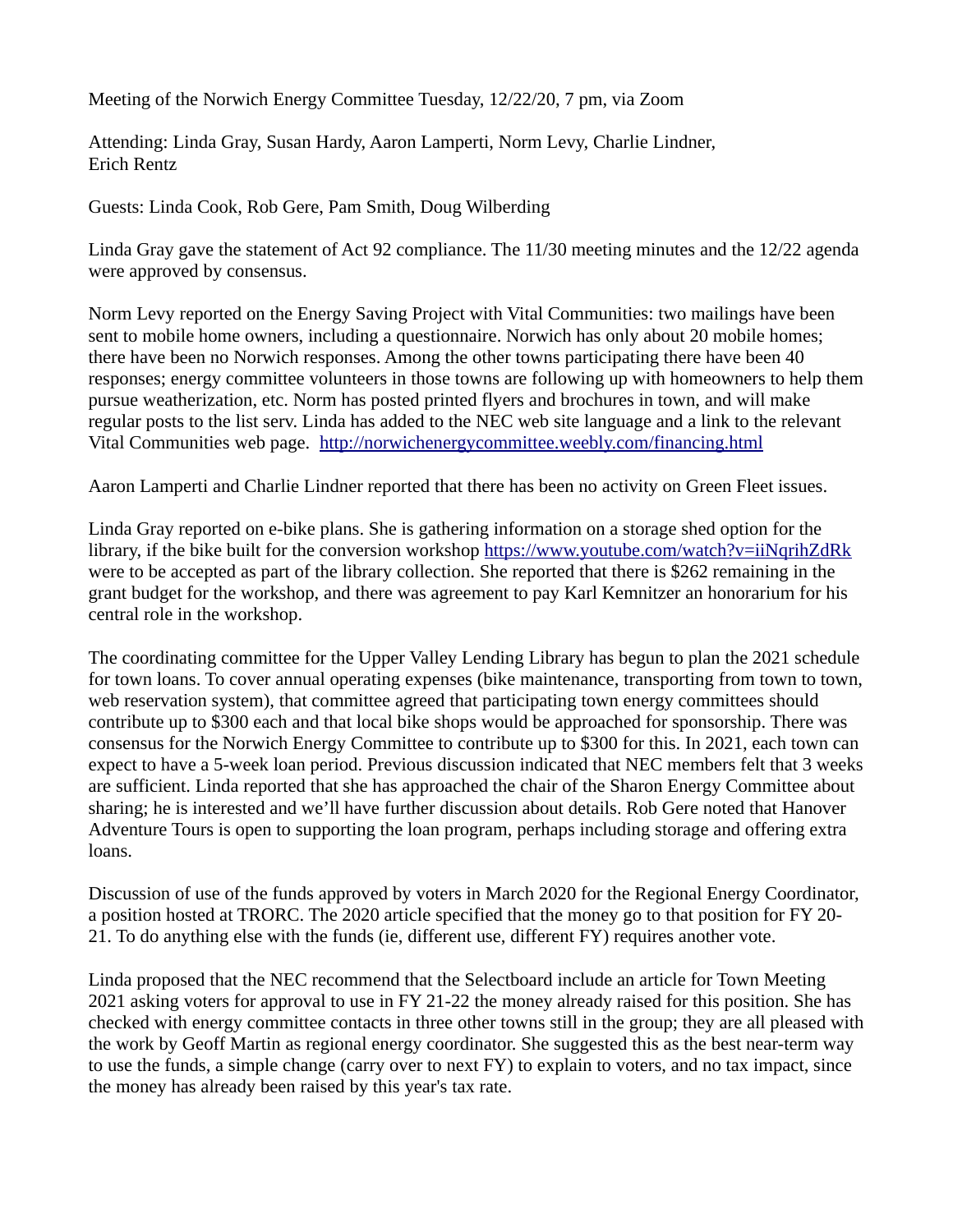Meeting of the Norwich Energy Committee Tuesday, 12/22/20, 7 pm, via Zoom

Attending: Linda Gray, Susan Hardy, Aaron Lamperti, Norm Levy, Charlie Lindner, Erich Rentz

Guests: Linda Cook, Rob Gere, Pam Smith, Doug Wilberding

Linda Gray gave the statement of Act 92 compliance. The 11/30 meeting minutes and the 12/22 agenda were approved by consensus.

Norm Levy reported on the Energy Saving Project with Vital Communities: two mailings have been sent to mobile home owners, including a questionnaire. Norwich has only about 20 mobile homes; there have been no Norwich responses. Among the other towns participating there have been 40 responses; energy committee volunteers in those towns are following up with homeowners to help them pursue weatherization, etc. Norm has posted printed flyers and brochures in town, and will make regular posts to the list serv. Linda has added to the NEC web site language and a link to the relevant Vital Communities web page. <http://norwichenergycommittee.weebly.com/financing.html>

Aaron Lamperti and Charlie Lindner reported that there has been no activity on Green Fleet issues.

Linda Gray reported on e-bike plans. She is gathering information on a storage shed option for the library, if the bike built for the conversion workshop<https://www.youtube.com/watch?v=iiNqrihZdRk> were to be accepted as part of the library collection. She reported that there is \$262 remaining in the grant budget for the workshop, and there was agreement to pay Karl Kemnitzer an honorarium for his central role in the workshop.

The coordinating committee for the Upper Valley Lending Library has begun to plan the 2021 schedule for town loans. To cover annual operating expenses (bike maintenance, transporting from town to town, web reservation system), that committee agreed that participating town energy committees should contribute up to \$300 each and that local bike shops would be approached for sponsorship. There was consensus for the Norwich Energy Committee to contribute up to \$300 for this. In 2021, each town can expect to have a 5-week loan period. Previous discussion indicated that NEC members felt that 3 weeks are sufficient. Linda reported that she has approached the chair of the Sharon Energy Committee about sharing; he is interested and we'll have further discussion about details. Rob Gere noted that Hanover Adventure Tours is open to supporting the loan program, perhaps including storage and offering extra loans.

Discussion of use of the funds approved by voters in March 2020 for the Regional Energy Coordinator, a position hosted at TRORC. The 2020 article specified that the money go to that position for FY 20- 21. To do anything else with the funds (ie, different use, different FY) requires another vote.

Linda proposed that the NEC recommend that the Selectboard include an article for Town Meeting 2021 asking voters for approval to use in FY 21-22 the money already raised for this position. She has checked with energy committee contacts in three other towns still in the group; they are all pleased with the work by Geoff Martin as regional energy coordinator. She suggested this as the best near-term way to use the funds, a simple change (carry over to next FY) to explain to voters, and no tax impact, since the money has already been raised by this year's tax rate.